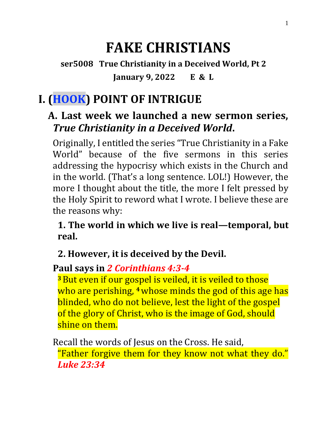# **FAKE CHRISTIANS**

**ser5008 True Christianity in a Deceived World, Pt 2 January 9, 2022 E & L**

# **I. (HOOK) POINT OF INTRIGUE**

#### **A. Last week we launched a new sermon series,**  *True Christianity in a Deceived World***.**

Originally, I entitled the series "True Christianity in a Fake World" because of the five sermons in this series addressing the hypocrisy which exists in the Church and in the world. (That's a long sentence. LOL!) However, the more I thought about the title, the more I felt pressed by the Holy Spirit to reword what I wrote. I believe these are the reasons why:

**1. The world in which we live is real—temporal, but real.**

#### **2. However, it is deceived by the Devil.**

#### **Paul says in** *2 Corinthians 4:3-4*

**<sup>3</sup>**But even if our gospel is veiled, it is veiled to those who are perishing, **<sup>4</sup>**whose minds the god of this age has blinded, who do not believe, lest the light of the gospel of the glory of Christ, who is the image of God, should shine on them.

Recall the words of Jesus on the Cross. He said, "Father forgive them for they know not what they do." *Luke 23:34*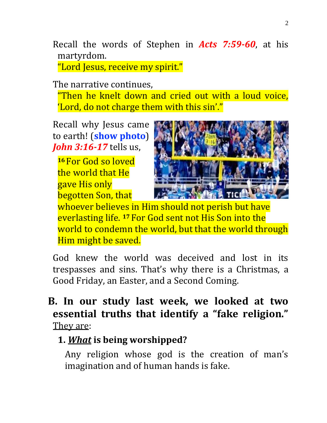Recall the words of Stephen in *Acts 7:59-60*, at his martyrdom.

"Lord Jesus, receive my spirit."

The narrative continues,

"Then he knelt down and cried out with a loud voice, 'Lord, do not charge them with this sin'."

Recall why Jesus came to earth! (**show photo**) *John 3:16-17* tells us,

**<sup>16</sup>** For God so loved the world that He gave His only begotten Son, that



whoever believes in Him should not perish but have everlasting life. **<sup>17</sup>** For God sent not His Son into the world to condemn the world, but that the world through Him might be saved.

God knew the world was deceived and lost in its trespasses and sins. That's why there is a Christmas, a Good Friday, an Easter, and a Second Coming.

**B. In our study last week, we looked at two essential truths that identify a "fake religion."**  They are:

#### **1.** *What* **is being worshipped?**

Any religion whose god is the creation of man's imagination and of human hands is fake.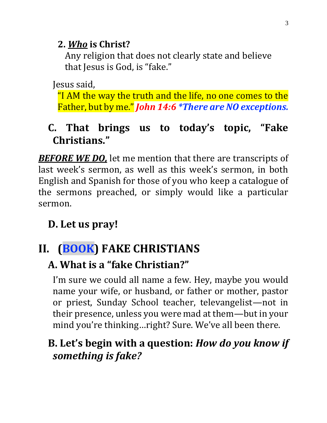#### **2.** *Who* **is Christ?**

Any religion that does not clearly state and believe that Jesus is God, is "fake."

Jesus said,

"I AM the way the truth and the life, no one comes to the Father, but by me." *John 14:6 \*There are NO exceptions.*

### **C. That brings us to today's topic, "Fake Christians."**

*BEFORE WE DO,* let me mention that there are transcripts of last week's sermon, as well as this week's sermon, in both English and Spanish for those of you who keep a catalogue of the sermons preached, or simply would like a particular sermon.

## **D. Let us pray!**

# **II. (BOOK) FAKE CHRISTIANS**

## **A. What is a "fake Christian?"**

I'm sure we could all name a few. Hey, maybe you would name your wife, or husband, or father or mother, pastor or priest, Sunday School teacher, televangelist—not in their presence, unless you were mad at them—but in your mind you're thinking…right? Sure. We've all been there.

## **B. Let's begin with a question:** *How do you know if something is fake?*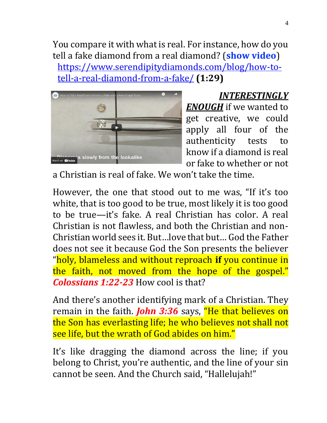You compare it with what is real. For instance, how do you tell a fake diamond from a real diamond? (**show video**) [https://www.serendipitydiamonds.com/blog/how-to](https://www.serendipitydiamonds.com/blog/how-to-tell-a-real-diamond-from-a-fake/)[tell-a-real-diamond-from-a-fake/](https://www.serendipitydiamonds.com/blog/how-to-tell-a-real-diamond-from-a-fake/) **(1:29)**



*INTERESTINGLY ENOUGH* if we wanted to get creative, we could apply all four of the authenticity tests to know if a diamond is real or fake to whether or not

a Christian is real of fake. We won't take the time.

However, the one that stood out to me was, "If it's too white, that is too good to be true, most likely it is too good to be true—it's fake. A real Christian has color. A real Christian is not flawless, and both the Christian and non-Christian world sees it. But…love that but… God the Father does not see it because God the Son presents the believer "holy, blameless and without reproach **if** you continue in the faith, not moved from the hope of the gospel." *Colossians 1:22-23* How cool is that?

And there's another identifying mark of a Christian. They remain in the faith. *John 3:36* says, "He that believes on the Son has everlasting life; he who believes not shall not see life, but the wrath of God abides on him."

It's like dragging the diamond across the line; if you belong to Christ, you're authentic, and the line of your sin cannot be seen. And the Church said, "Hallelujah!"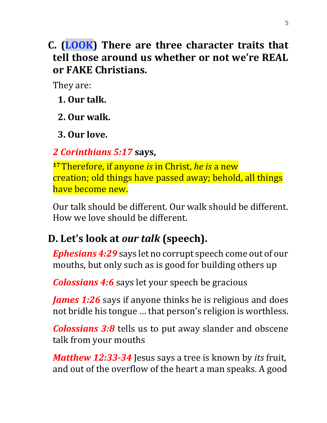**C. (LOOK) There are three character traits that tell those around us whether or not we're REAL or FAKE Christians.** 

They are:

**1. Our talk.** 

**2. Our walk.**

**3. Our love.**

#### *2 Corinthians 5:17* **says,**

**<sup>17</sup>**Therefore, if anyone *is* in Christ, *he is* a new creation; old things have passed away; behold, all things have become new.

Our talk should be different. Our walk should be different. How we love should be different.

## **D. Let's look at** *our talk* **(speech).**

*Ephesians 4:29* says let no corrupt speech come out of our mouths, but only such as is good for building others up

*Colossians 4:6* says let your speech be gracious

*James 1:26* says if anyone thinks he is religious and does not bridle his tongue … that person's religion is worthless.

*Colossians 3:8* tells us to put away slander and obscene talk from your mouths

*Matthew 12:33-34* Jesus says a tree is known by *its* fruit, and out of the overflow of the heart a man speaks. A good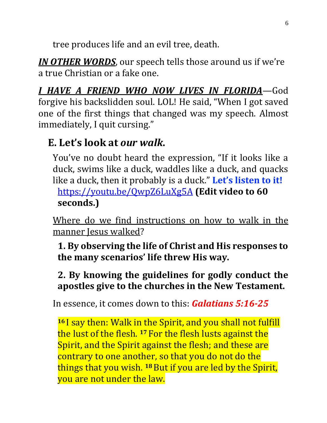tree produces life and an evil tree, death.

*IN OTHER WORDS*, our speech tells those around us if we're a true Christian or a fake one.

*I HAVE A FRIEND WHO NOW LIVES IN FLORIDA*—God forgive his backslidden soul. LOL! He said, "When I got saved one of the first things that changed was my speech. Almost immediately, I quit cursing."

## **E. Let's look at** *our walk***.**

You've no doubt heard the expression, "If it looks like a duck, swims like a duck, waddles like a duck, and quacks like a duck, then it probably is a duck." **Let's listen to it!**

<https://youtu.be/QwpZ6LuXg5A> **(Edit video to 60 seconds.)**

Where do we find instructions on how to walk in the manner Jesus walked?

**1. By observing the life of Christ and His responses to the many scenarios' life threw His way.** 

#### **2. By knowing the guidelines for godly conduct the apostles give to the churches in the New Testament.**

In essence, it comes down to this: *Galatians 5:16-25*

**<sup>16</sup>** I say then: Walk in the Spirit, and you shall not fulfill the lust of the flesh. **<sup>17</sup>** For the flesh lusts against the Spirit, and the Spirit against the flesh; and these are contrary to one another, so that you do not do the things that you wish. **<sup>18</sup>**But if you are led by the Spirit, you are not under the law.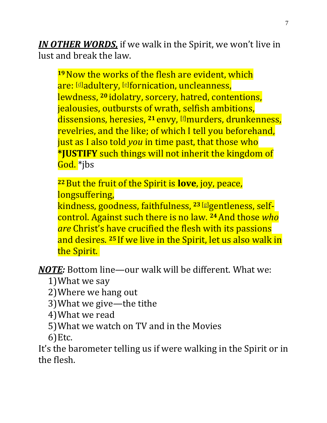*IN OTHER WORDS,* if we walk in the Spirit, we won't live in lust and break the law.

<sup>19</sup> Now the works of the flesh are evident, which are: [\[d\]](https://www.biblegateway.com/passage/?search=galatians+5&version=NKJV#fen-NKJV-29182d)adultery, [\[e\]](https://www.biblegateway.com/passage/?search=galatians+5&version=NKJV#fen-NKJV-29182e) fornication, uncleanness, lewdness, **<sup>20</sup>** idolatry, sorcery, hatred, contentions, jealousies, outbursts of wrath, selfish ambitions, dissensions, heresies, **<sup>21</sup>** envy, [\[f\]](https://www.biblegateway.com/passage/?search=galatians+5&version=NKJV#fen-NKJV-29184f)murders, drunkenness, revelries, and the like; of which I tell you beforehand, just as I also told *you* in time past, that those who **\*JUSTIFY** such things will not inherit the kingdom of God. \*jbs

**<sup>22</sup>**But the fruit of the Spirit is **love**, joy, peace, longsuffering,

kindness, goodness, faithfulness, **<sup>23</sup>** [\[g\]](https://www.biblegateway.com/passage/?search=galatians+5&version=NKJV#fen-NKJV-29186g)gentleness, selfcontrol. Against such there is no law. **<sup>24</sup>**And those *who are* Christ's have crucified the flesh with its passions and desires. **<sup>25</sup>** If we live in the Spirit, let us also walk in the Spirit.

*NOTE:* Bottom line—our walk will be different. What we:

- 1)What we say
- 2)Where we hang out
- 3)What we give—the tithe
- 4)What we read
- 5)What we watch on TV and in the Movies
- 6)Etc.

It's the barometer telling us if were walking in the Spirit or in the flesh.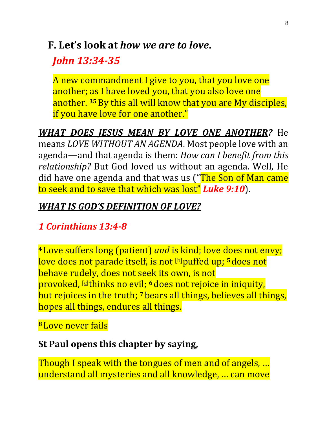#### **F. Let's look at** *how we are to love***.**

## *John 13:34-35*

A new commandment I give to you, that you love one another; as I have loved you, that you also love one another. **<sup>35</sup>**By this all will know that you are My disciples, if you have love for one another."

*WHAT DOES JESUS MEAN BY LOVE ONE ANOTHER?* He means *LOVE WITHOUT AN AGENDA*. Most people love with an agenda—and that agenda is them: *How can I benefit from this relationship?* But God loved us without an agenda. Well, He did have one agenda and that was us ("The Son of Man came to seek and to save that which was lost" *Luke 9:10*).

#### *WHAT IS GOD'S DEFINITION OF LOVE?*

## *1 Corinthians 13:4-8*

**<sup>4</sup>** Love suffers long (patient) *and* is kind; love does not envy; love does not parade itself, is not [\[b\]](https://www.biblegateway.com/passage/?search=1+Corinthians+13&version=NKJV#fen-NKJV-28670b)puffed up; **<sup>5</sup>** does not behave rudely, does not seek its own, is not provoked, [\[c\]](https://www.biblegateway.com/passage/?search=1+Corinthians+13&version=NKJV#fen-NKJV-28671c)thinks no evil; **<sup>6</sup>** does not rejoice in iniquity, but rejoices in the truth; **<sup>7</sup>** bears all things, believes all things, hopes all things, endures all things.

#### **<sup>8</sup>** Love never fails

#### **St Paul opens this chapter by saying,**

Though I speak with the tongues of men and of angels, ... understand all mysteries and all knowledge, … can move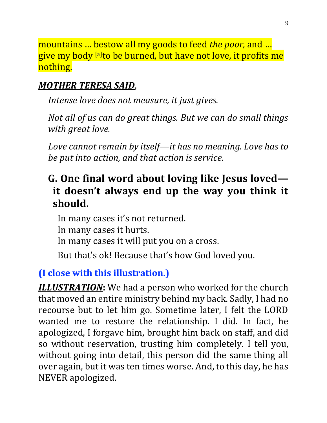mountains … bestow all my goods to feed *the poor,* and … give my body [\[a\]](https://www.biblegateway.com/passage/?search=1+Corinthians+13&version=NKJV#fen-NKJV-28669a)to be burned, but have not love, it profits me nothing.

#### *MOTHER TERESA SAID*,

*Intense love does not measure, it just gives.* 

*Not all of us can do great things. But we can do small things with great love.* 

*Love cannot remain by itself—it has no meaning. Love has to be put into action, and that action is service.* 

## **G. One final word about loving like Jesus loved it doesn't always end up the way you think it should.**

In many cases it's not returned. In many cases it hurts. In many cases it will put you on a cross. But that's ok! Because that's how God loved you.

### **(I close with this illustration.)**

*ILLUSTRATION***:** We had a person who worked for the church that moved an entire ministry behind my back. Sadly, I had no recourse but to let him go. Sometime later, I felt the LORD wanted me to restore the relationship. I did. In fact, he apologized, I forgave him, brought him back on staff, and did so without reservation, trusting him completely. I tell you, without going into detail, this person did the same thing all over again, but it was ten times worse. And, to this day, he has NEVER apologized.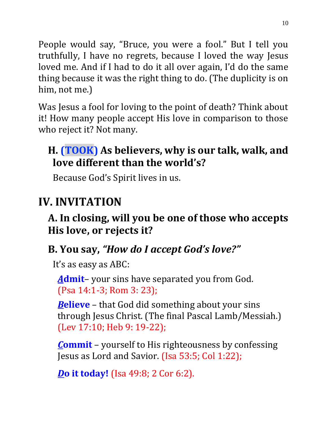People would say, "Bruce, you were a fool." But I tell you truthfully, I have no regrets, because I loved the way Jesus loved me. And if I had to do it all over again, I'd do the same thing because it was the right thing to do. (The duplicity is on him, not me.)

Was Jesus a fool for loving to the point of death? Think about it! How many people accept His love in comparison to those who reject it? Not many.

## **H. (TOOK) As believers, why is our talk, walk, and love different than the world's?**

Because God's Spirit lives in us.

# **IV. INVITATION**

## **A. In closing, will you be one of those who accepts His love, or rejects it?**

## **B. You say,** *"How do I accept God's love?"*

It's as easy as ABC:

*A***dmit**– your sins have separated you from God. (Psa 14:1-3; Rom 3: 23);

*B***elieve** – that God did something about your sins through Jesus Christ. (The final Pascal Lamb/Messiah.) (Lev 17:10; Heb 9: 19-22);

*C***ommit** – yourself to His righteousness by confessing Jesus as Lord and Savior. (Isa 53:5; Col 1:22);

*D***o it today!** (Isa 49:8; 2 Cor 6:2).